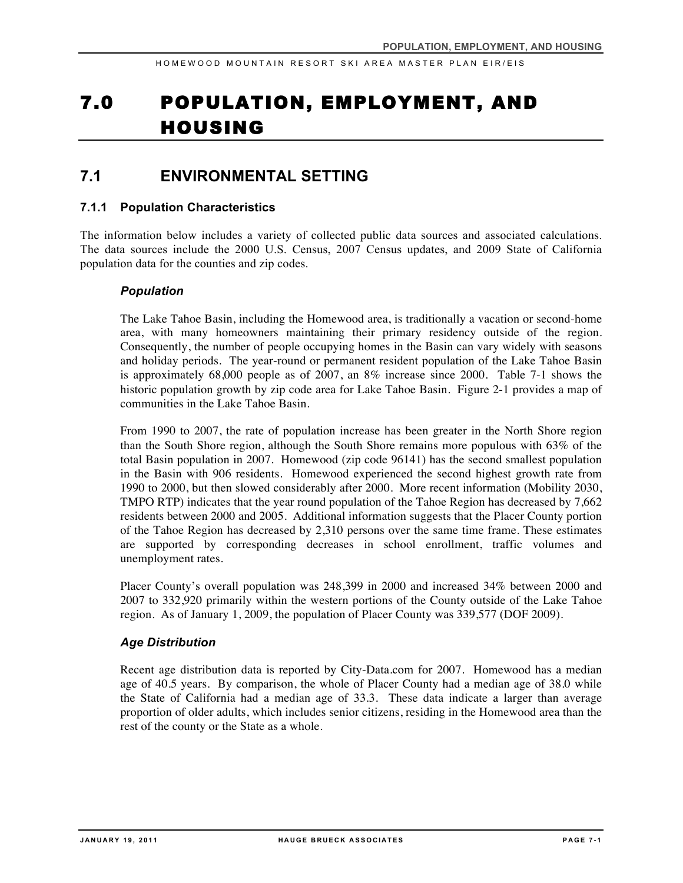# 7.0 POPULATION, EMPLOYMENT, AND HOUSING

# **7.1 ENVIRONMENTAL SETTING**

### **7.1.1 Population Characteristics**

The information below includes a variety of collected public data sources and associated calculations. The data sources include the 2000 U.S. Census, 2007 Census updates, and 2009 State of California population data for the counties and zip codes.

### *Population*

The Lake Tahoe Basin, including the Homewood area, is traditionally a vacation or second-home area, with many homeowners maintaining their primary residency outside of the region. Consequently, the number of people occupying homes in the Basin can vary widely with seasons and holiday periods. The year-round or permanent resident population of the Lake Tahoe Basin is approximately 68,000 people as of 2007, an 8% increase since 2000. Table 7-1 shows the historic population growth by zip code area for Lake Tahoe Basin. Figure 2-1 provides a map of communities in the Lake Tahoe Basin.

From 1990 to 2007, the rate of population increase has been greater in the North Shore region than the South Shore region, although the South Shore remains more populous with 63% of the total Basin population in 2007. Homewood (zip code 96141) has the second smallest population in the Basin with 906 residents. Homewood experienced the second highest growth rate from 1990 to 2000, but then slowed considerably after 2000. More recent information (Mobility 2030, TMPO RTP) indicates that the year round population of the Tahoe Region has decreased by 7,662 residents between 2000 and 2005. Additional information suggests that the Placer County portion of the Tahoe Region has decreased by 2,310 persons over the same time frame. These estimates are supported by corresponding decreases in school enrollment, traffic volumes and unemployment rates.

Placer County's overall population was 248,399 in 2000 and increased 34% between 2000 and 2007 to 332,920 primarily within the western portions of the County outside of the Lake Tahoe region. As of January 1, 2009, the population of Placer County was 339,577 (DOF 2009).

### *Age Distribution*

Recent age distribution data is reported by City-Data.com for 2007. Homewood has a median age of 40.5 years. By comparison, the whole of Placer County had a median age of 38.0 while the State of California had a median age of 33.3. These data indicate a larger than average proportion of older adults, which includes senior citizens, residing in the Homewood area than the rest of the county or the State as a whole.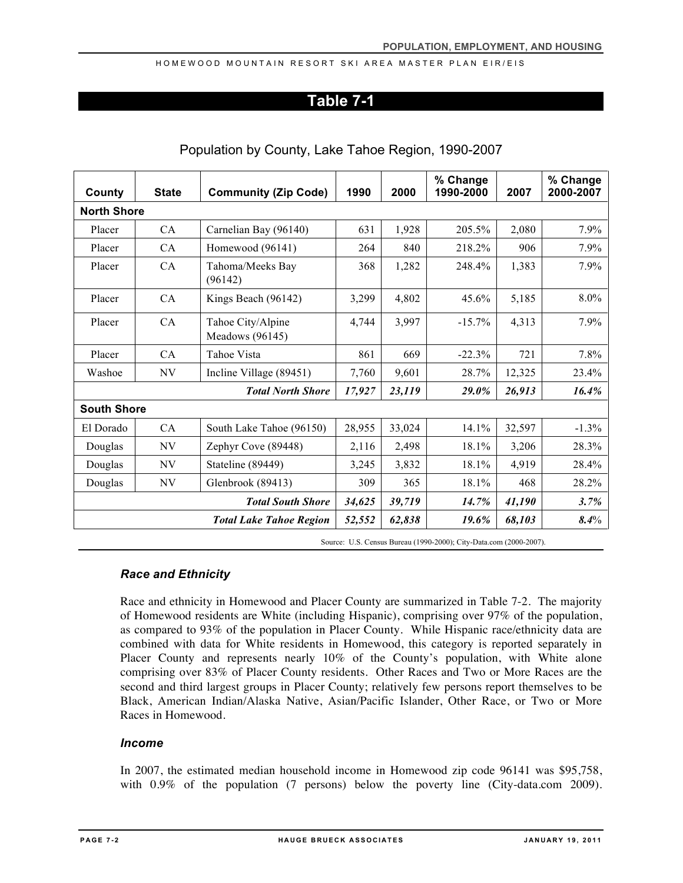### **Table 7-1**

| County             | <b>State</b>             | <b>Community (Zip Code)</b>          | 1990   | 2000   | % Change<br>1990-2000 | 2007   | % Change<br>2000-2007 |
|--------------------|--------------------------|--------------------------------------|--------|--------|-----------------------|--------|-----------------------|
|                    | <b>North Shore</b>       |                                      |        |        |                       |        |                       |
| Placer             | CA                       | Carnelian Bay (96140)                | 631    | 1,928  | 205.5%                | 2,080  | 7.9%                  |
| Placer             | CA                       | Homewood (96141)                     | 264    | 840    | 218.2%                | 906    | 7.9%                  |
| Placer             | CA                       | Tahoma/Meeks Bay<br>(96142)          | 368    | 1,282  | 248.4%                | 1,383  | 7.9%                  |
| Placer             | CA                       | Kings Beach (96142)                  | 3,299  | 4,802  | 45.6%                 | 5,185  | 8.0%                  |
| Placer             | CA                       | Tahoe City/Alpine<br>Meadows (96145) | 4,744  | 3,997  | $-15.7\%$             | 4,313  | 7.9%                  |
| Placer             | CA                       | Tahoe Vista                          | 861    | 669    | $-22.3%$              | 721    | 7.8%                  |
| Washoe             | NV                       | Incline Village (89451)              | 7,760  | 9,601  | 28.7%                 | 12,325 | 23.4%                 |
|                    |                          | <b>Total North Shore</b>             | 17,927 | 23,119 | 29.0%                 | 26,913 | 16.4%                 |
| <b>South Shore</b> |                          |                                      |        |        |                       |        |                       |
| El Dorado          | CA                       | South Lake Tahoe (96150)             | 28,955 | 33,024 | 14.1%                 | 32,597 | $-1.3\%$              |
| Douglas            | NV                       | Zephyr Cove (89448)                  | 2,116  | 2,498  | 18.1%                 | 3,206  | 28.3%                 |
| Douglas            | NV                       | Stateline (89449)                    | 3,245  | 3,832  | 18.1%                 | 4,919  | 28.4%                 |
| Douglas            | NV.                      | Glenbrook (89413)                    | 309    | 365    | 18.1%                 | 468    | 28.2%                 |
|                    | <b>Total South Shore</b> |                                      |        | 39,719 | 14.7%                 | 41,190 | 3.7%                  |
|                    |                          | <b>Total Lake Tahoe Region</b>       | 52,552 | 62,838 | 19.6%                 | 68,103 | $8.4\%$               |

### Population by County, Lake Tahoe Region, 1990-2007

Source: U.S. Census Bureau (1990-2000); City-Data.com (2000-2007).

### *Race and Ethnicity*

Race and ethnicity in Homewood and Placer County are summarized in Table 7-2. The majority of Homewood residents are White (including Hispanic), comprising over 97% of the population, as compared to 93% of the population in Placer County. While Hispanic race/ethnicity data are combined with data for White residents in Homewood, this category is reported separately in Placer County and represents nearly 10% of the County's population, with White alone comprising over 83% of Placer County residents. Other Races and Two or More Races are the second and third largest groups in Placer County; relatively few persons report themselves to be Black, American Indian/Alaska Native, Asian/Pacific Islander, Other Race, or Two or More Races in Homewood.

### *Income*

In 2007, the estimated median household income in Homewood zip code 96141 was \$95,758, with 0.9% of the population (7 persons) below the poverty line (City-data.com 2009).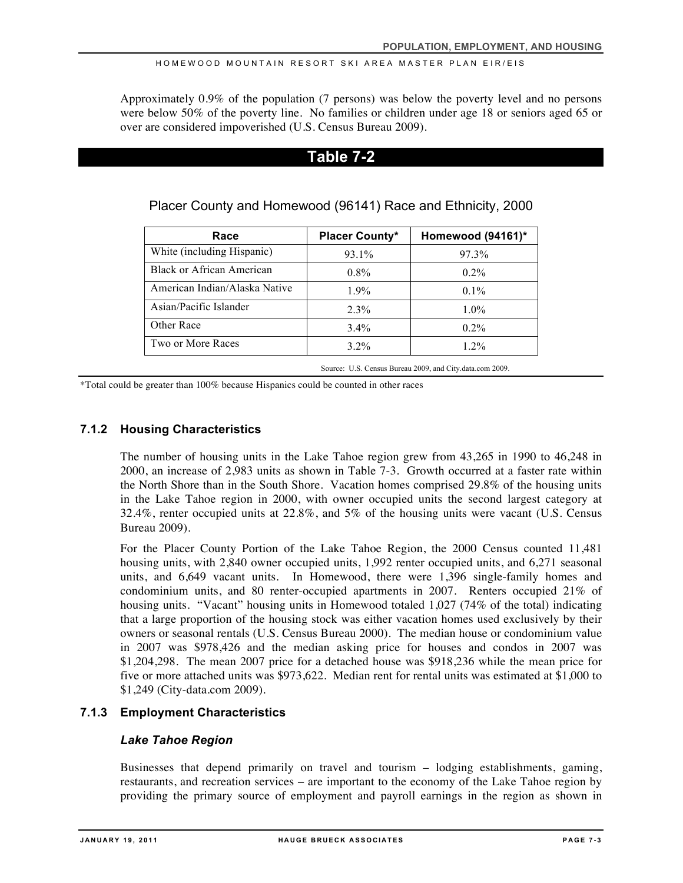Approximately 0.9% of the population (7 persons) was below the poverty level and no persons were below 50% of the poverty line. No families or children under age 18 or seniors aged 65 or over are considered impoverished (U.S. Census Bureau 2009).

## **Table 7-2**

| Race                          | <b>Placer County*</b> | Homewood (94161)* |
|-------------------------------|-----------------------|-------------------|
| White (including Hispanic)    | 93.1%                 | 97.3%             |
| Black or African American     | $0.8\%$               | $0.2\%$           |
| American Indian/Alaska Native | 1.9%                  | $0.1\%$           |
| Asian/Pacific Islander        | 2.3%                  | $1.0\%$           |
| Other Race                    | $3.4\%$               | $0.2\%$           |
| Two or More Races             | $3.2\%$               | $1.2\%$           |

Placer County and Homewood (96141) Race and Ethnicity, 2000

Source: U.S. Census Bureau 2009, and City.data.com 2009.

\*Total could be greater than 100% because Hispanics could be counted in other races

### **7.1.2 Housing Characteristics**

The number of housing units in the Lake Tahoe region grew from 43,265 in 1990 to 46,248 in 2000, an increase of 2,983 units as shown in Table 7-3. Growth occurred at a faster rate within the North Shore than in the South Shore. Vacation homes comprised 29.8% of the housing units in the Lake Tahoe region in 2000, with owner occupied units the second largest category at 32.4%, renter occupied units at 22.8%, and 5% of the housing units were vacant (U.S. Census Bureau 2009).

For the Placer County Portion of the Lake Tahoe Region, the 2000 Census counted 11,481 housing units, with 2,840 owner occupied units, 1,992 renter occupied units, and 6,271 seasonal units, and 6,649 vacant units. In Homewood, there were 1,396 single-family homes and condominium units, and 80 renter-occupied apartments in 2007. Renters occupied 21% of housing units. "Vacant" housing units in Homewood totaled 1,027 (74% of the total) indicating that a large proportion of the housing stock was either vacation homes used exclusively by their owners or seasonal rentals (U.S. Census Bureau 2000). The median house or condominium value in 2007 was \$978,426 and the median asking price for houses and condos in 2007 was \$1,204,298. The mean 2007 price for a detached house was \$918,236 while the mean price for five or more attached units was \$973,622. Median rent for rental units was estimated at \$1,000 to \$1,249 (City-data.com 2009).

### **7.1.3 Employment Characteristics**

### *Lake Tahoe Region*

Businesses that depend primarily on travel and tourism – lodging establishments, gaming, restaurants, and recreation services – are important to the economy of the Lake Tahoe region by providing the primary source of employment and payroll earnings in the region as shown in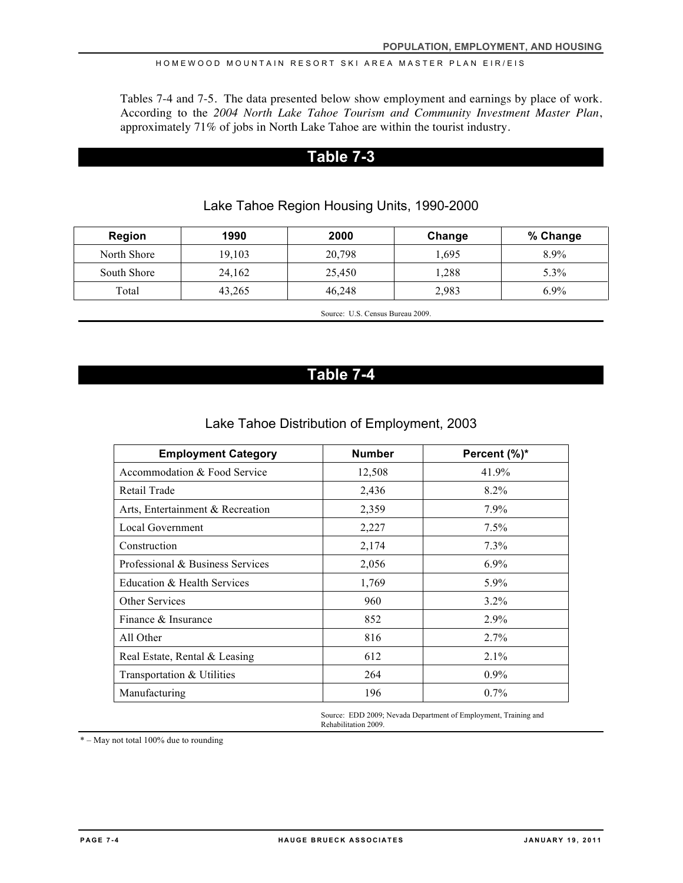Tables 7-4 and 7-5. The data presented below show employment and earnings by place of work. According to the *2004 North Lake Tahoe Tourism and Community Investment Master Plan*, approximately 71% of jobs in North Lake Tahoe are within the tourist industry.

### **Table 7-3**

| Region      | 1990   | 2000   | Change | % Change |
|-------------|--------|--------|--------|----------|
| North Shore | 19,103 | 20,798 | 1.695  | 8.9%     |
| South Shore | 24,162 | 25,450 | 1,288  | 5.3%     |
| Total       | 43,265 | 46.248 | 2,983  | $6.9\%$  |

Lake Tahoe Region Housing Units, 1990-2000

Source: U.S. Census Bureau 2009.

# **Table 7-4**

### Lake Tahoe Distribution of Employment, 2003

| <b>Employment Category</b>       | <b>Number</b> | Percent (%)* |
|----------------------------------|---------------|--------------|
| Accommodation & Food Service     | 12,508        | 41.9%        |
| Retail Trade                     | 2,436         | $8.2\%$      |
| Arts, Entertainment & Recreation | 2,359         | $7.9\%$      |
| <b>Local Government</b>          | 2,227         | 7.5%         |
| Construction                     | 2,174         | $7.3\%$      |
| Professional & Business Services | 2,056         | $6.9\%$      |
| Education & Health Services      | 1,769         | 5.9%         |
| Other Services                   | 960           | $3.2\%$      |
| Finance & Insurance              | 852           | $2.9\%$      |
| All Other                        | 816           | $2.7\%$      |
| Real Estate, Rental & Leasing    | 612           | 2.1%         |
| Transportation & Utilities       | 264           | $0.9\%$      |
| Manufacturing                    | 196           | $0.7\%$      |

Source: EDD 2009; Nevada Department of Employment, Training and Rehabilitation 2009.

\* – May not total 100% due to rounding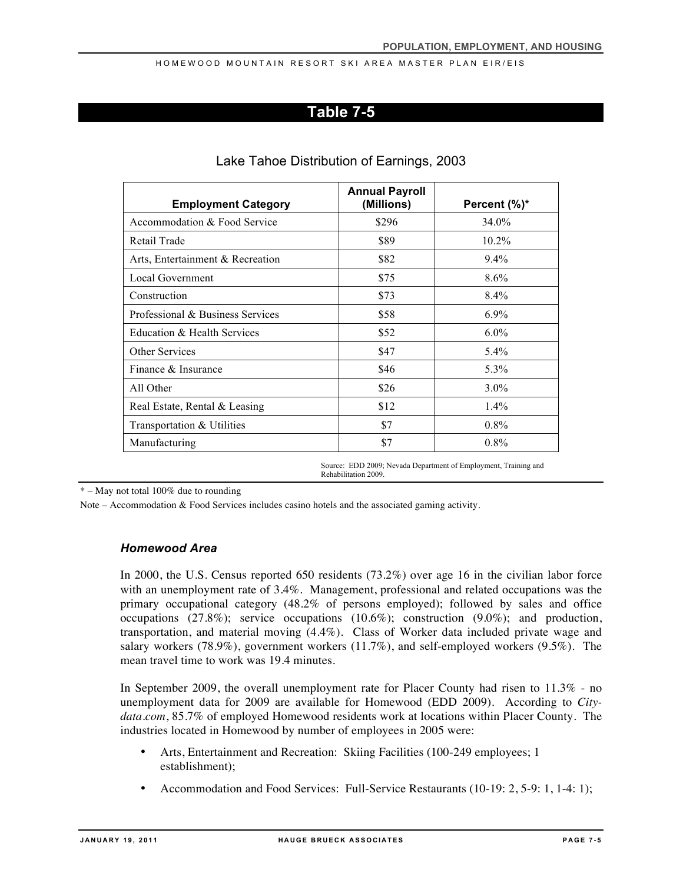### **Table 7-5**

| <b>Employment Category</b>       | <b>Annual Payroll</b><br>(Millions) | Percent (%)* |
|----------------------------------|-------------------------------------|--------------|
| Accommodation & Food Service     | \$296                               | 34.0%        |
| Retail Trade                     | \$89                                | $10.2\%$     |
| Arts, Entertainment & Recreation | \$82                                | $9.4\%$      |
| Local Government                 | \$75                                | 8.6%         |
| Construction                     | \$73                                | $8.4\%$      |
| Professional & Business Services | \$58                                | $6.9\%$      |
| Education & Health Services      | \$52                                | $6.0\%$      |
| <b>Other Services</b>            | \$47                                | 5.4%         |
| Finance & Insurance              | \$46                                | 5.3%         |
| All Other                        | \$26                                | $3.0\%$      |
| Real Estate, Rental & Leasing    | \$12                                | $1.4\%$      |
| Transportation & Utilities       | \$7                                 | $0.8\%$      |
| Manufacturing                    | \$7                                 | $0.8\%$      |

### Lake Tahoe Distribution of Earnings, 2003

Source: EDD 2009; Nevada Department of Employment, Training and Rehabilitation 2009.

 $*$  – May not total 100% due to rounding

Note – Accommodation & Food Services includes casino hotels and the associated gaming activity.

### *Homewood Area*

In 2000, the U.S. Census reported 650 residents (73.2%) over age 16 in the civilian labor force with an unemployment rate of 3.4%. Management, professional and related occupations was the primary occupational category (48.2% of persons employed); followed by sales and office occupations (27.8%); service occupations (10.6%); construction (9.0%); and production, transportation, and material moving (4.4%). Class of Worker data included private wage and salary workers (78.9%), government workers (11.7%), and self-employed workers (9.5%). The mean travel time to work was 19.4 minutes.

In September 2009, the overall unemployment rate for Placer County had risen to 11.3% - no unemployment data for 2009 are available for Homewood (EDD 2009). According to *Citydata.com*, 85.7% of employed Homewood residents work at locations within Placer County. The industries located in Homewood by number of employees in 2005 were:

- Arts, Entertainment and Recreation: Skiing Facilities (100-249 employees; 1 establishment);
- Accommodation and Food Services: Full-Service Restaurants (10-19: 2, 5-9: 1, 1-4: 1);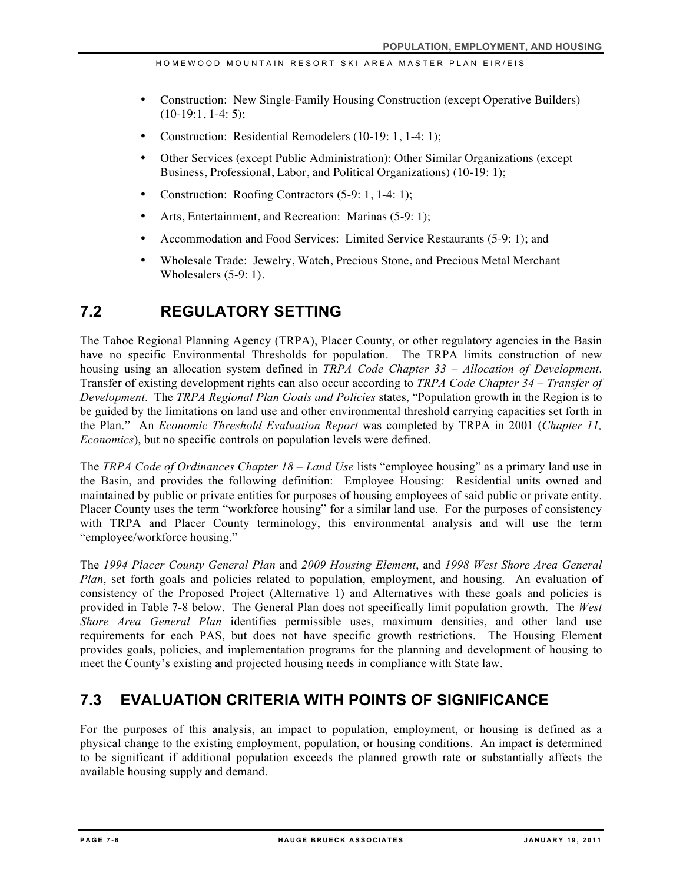- Construction: New Single-Family Housing Construction (except Operative Builders)  $(10-19:1, 1-4:5)$ ;
- Construction: Residential Remodelers (10-19: 1, 1-4: 1);
- Other Services (except Public Administration): Other Similar Organizations (except Business, Professional, Labor, and Political Organizations) (10-19: 1);
- Construction: Roofing Contractors (5-9: 1, 1-4: 1);
- Arts, Entertainment, and Recreation: Marinas (5-9: 1);
- Accommodation and Food Services: Limited Service Restaurants (5-9: 1); and
- Wholesale Trade: Jewelry, Watch, Precious Stone, and Precious Metal Merchant Wholesalers (5-9: 1).

# **7.2 REGULATORY SETTING**

The Tahoe Regional Planning Agency (TRPA), Placer County, or other regulatory agencies in the Basin have no specific Environmental Thresholds for population. The TRPA limits construction of new housing using an allocation system defined in *TRPA Code Chapter 33 – Allocation of Development*. Transfer of existing development rights can also occur according to *TRPA Code Chapter 34 – Transfer of Development*. The *TRPA Regional Plan Goals and Policies* states, "Population growth in the Region is to be guided by the limitations on land use and other environmental threshold carrying capacities set forth in the Plan." An *Economic Threshold Evaluation Report* was completed by TRPA in 2001 (*Chapter 11, Economics*), but no specific controls on population levels were defined.

The *TRPA Code of Ordinances Chapter 18 – Land Use* lists "employee housing" as a primary land use in the Basin, and provides the following definition: Employee Housing: Residential units owned and maintained by public or private entities for purposes of housing employees of said public or private entity. Placer County uses the term "workforce housing" for a similar land use. For the purposes of consistency with TRPA and Placer County terminology, this environmental analysis and will use the term "employee/workforce housing."

The *1994 Placer County General Plan* and *2009 Housing Element*, and *1998 West Shore Area General Plan*, set forth goals and policies related to population, employment, and housing. An evaluation of consistency of the Proposed Project (Alternative 1) and Alternatives with these goals and policies is provided in Table 7-8 below. The General Plan does not specifically limit population growth. The *West Shore Area General Plan* identifies permissible uses, maximum densities, and other land use requirements for each PAS, but does not have specific growth restrictions. The Housing Element provides goals, policies, and implementation programs for the planning and development of housing to meet the County's existing and projected housing needs in compliance with State law.

# **7.3 EVALUATION CRITERIA WITH POINTS OF SIGNIFICANCE**

For the purposes of this analysis, an impact to population, employment, or housing is defined as a physical change to the existing employment, population, or housing conditions. An impact is determined to be significant if additional population exceeds the planned growth rate or substantially affects the available housing supply and demand.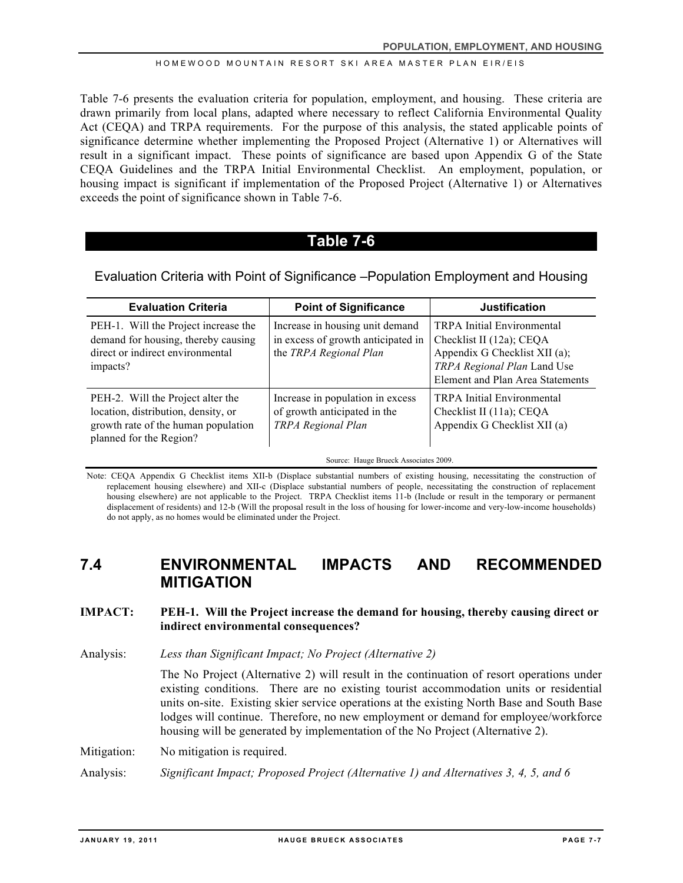Table 7-6 presents the evaluation criteria for population, employment, and housing. These criteria are drawn primarily from local plans, adapted where necessary to reflect California Environmental Quality Act (CEQA) and TRPA requirements. For the purpose of this analysis, the stated applicable points of significance determine whether implementing the Proposed Project (Alternative 1) or Alternatives will result in a significant impact. These points of significance are based upon Appendix G of the State CEQA Guidelines and the TRPA Initial Environmental Checklist. An employment, population, or housing impact is significant if implementation of the Proposed Project (Alternative 1) or Alternatives exceeds the point of significance shown in Table 7-6.

### **Table 7-6**

### Evaluation Criteria with Point of Significance –Population Employment and Housing

| <b>Evaluation Criteria</b>                                                                                                                 | <b>Point of Significance</b>                                                                                                    | <b>Justification</b>                                                                                                                                              |
|--------------------------------------------------------------------------------------------------------------------------------------------|---------------------------------------------------------------------------------------------------------------------------------|-------------------------------------------------------------------------------------------------------------------------------------------------------------------|
| PEH-1. Will the Project increase the<br>demand for housing, thereby causing<br>direct or indirect environmental<br>impacts?                | Increase in housing unit demand<br>in excess of growth anticipated in<br>the TRPA Regional Plan                                 | <b>TRPA</b> Initial Environmental<br>Checklist II (12a); CEQA<br>Appendix G Checklist XII (a);<br>TRPA Regional Plan Land Use<br>Element and Plan Area Statements |
| PEH-2. Will the Project alter the<br>location, distribution, density, or<br>growth rate of the human population<br>planned for the Region? | Increase in population in excess<br>of growth anticipated in the<br>TRPA Regional Plan<br>Source: Hauge Brueck Associates 2009. | <b>TRPA</b> Initial Environmental<br>Checklist II (11a); CEQA<br>Appendix G Checklist XII (a)                                                                     |

Note: CEQA Appendix G Checklist items XII-b (Displace substantial numbers of existing housing, necessitating the construction of replacement housing elsewhere) and XII-c (Displace substantial numbers of people, necessitating the construction of replacement housing elsewhere) are not applicable to the Project. TRPA Checklist items 11-b (Include or result in the temporary or permanent displacement of residents) and 12-b (Will the proposal result in the loss of housing for lower-income and very-low-income households) do not apply, as no homes would be eliminated under the Project.

# **7.4 ENVIRONMENTAL IMPACTS AND RECOMMENDED MITIGATION**

### **IMPACT: PEH-1. Will the Project increase the demand for housing, thereby causing direct or indirect environmental consequences?**

Analysis: *Less than Significant Impact; No Project (Alternative 2)*

The No Project (Alternative 2) will result in the continuation of resort operations under existing conditions. There are no existing tourist accommodation units or residential units on-site. Existing skier service operations at the existing North Base and South Base lodges will continue. Therefore, no new employment or demand for employee/workforce housing will be generated by implementation of the No Project (Alternative 2).

Mitigation: No mitigation is required.

Analysis: *Significant Impact; Proposed Project (Alternative 1) and Alternatives 3, 4, 5, and 6*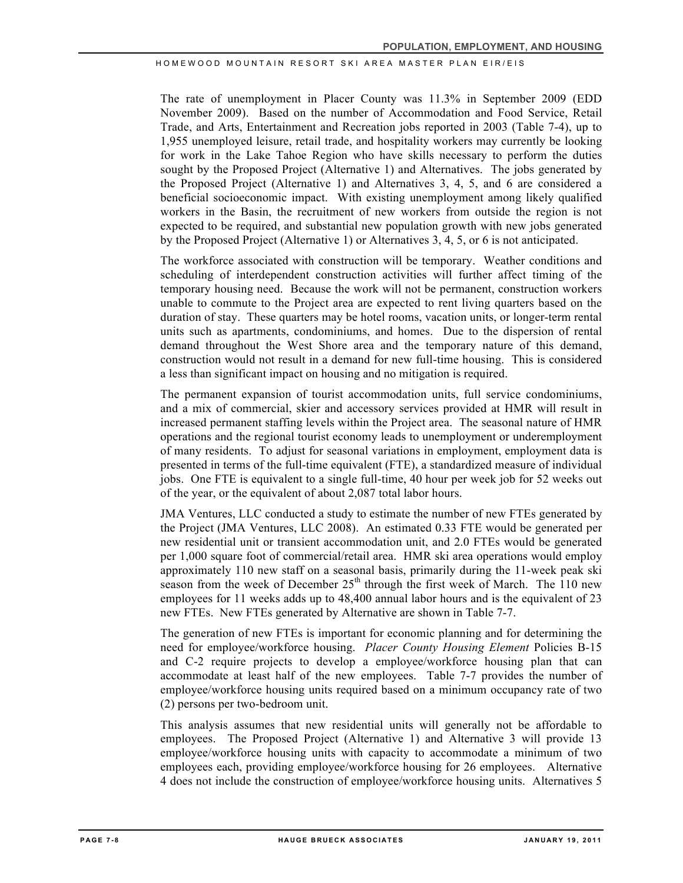The rate of unemployment in Placer County was 11.3% in September 2009 (EDD November 2009). Based on the number of Accommodation and Food Service, Retail Trade, and Arts, Entertainment and Recreation jobs reported in 2003 (Table 7-4), up to 1,955 unemployed leisure, retail trade, and hospitality workers may currently be looking for work in the Lake Tahoe Region who have skills necessary to perform the duties sought by the Proposed Project (Alternative 1) and Alternatives. The jobs generated by the Proposed Project (Alternative 1) and Alternatives 3, 4, 5, and 6 are considered a beneficial socioeconomic impact. With existing unemployment among likely qualified workers in the Basin, the recruitment of new workers from outside the region is not expected to be required, and substantial new population growth with new jobs generated by the Proposed Project (Alternative 1) or Alternatives 3, 4, 5, or 6 is not anticipated.

The workforce associated with construction will be temporary. Weather conditions and scheduling of interdependent construction activities will further affect timing of the temporary housing need. Because the work will not be permanent, construction workers unable to commute to the Project area are expected to rent living quarters based on the duration of stay. These quarters may be hotel rooms, vacation units, or longer-term rental units such as apartments, condominiums, and homes. Due to the dispersion of rental demand throughout the West Shore area and the temporary nature of this demand, construction would not result in a demand for new full-time housing. This is considered a less than significant impact on housing and no mitigation is required.

The permanent expansion of tourist accommodation units, full service condominiums, and a mix of commercial, skier and accessory services provided at HMR will result in increased permanent staffing levels within the Project area. The seasonal nature of HMR operations and the regional tourist economy leads to unemployment or underemployment of many residents. To adjust for seasonal variations in employment, employment data is presented in terms of the full-time equivalent (FTE), a standardized measure of individual jobs. One FTE is equivalent to a single full-time, 40 hour per week job for 52 weeks out of the year, or the equivalent of about 2,087 total labor hours.

JMA Ventures, LLC conducted a study to estimate the number of new FTEs generated by the Project (JMA Ventures, LLC 2008). An estimated 0.33 FTE would be generated per new residential unit or transient accommodation unit, and 2.0 FTEs would be generated per 1,000 square foot of commercial/retail area. HMR ski area operations would employ approximately 110 new staff on a seasonal basis, primarily during the 11-week peak ski season from the week of December  $25<sup>th</sup>$  through the first week of March. The 110 new employees for 11 weeks adds up to 48,400 annual labor hours and is the equivalent of 23 new FTEs. New FTEs generated by Alternative are shown in Table 7-7.

The generation of new FTEs is important for economic planning and for determining the need for employee/workforce housing. *Placer County Housing Element* Policies B-15 and C-2 require projects to develop a employee/workforce housing plan that can accommodate at least half of the new employees. Table 7-7 provides the number of employee/workforce housing units required based on a minimum occupancy rate of two (2) persons per two-bedroom unit.

This analysis assumes that new residential units will generally not be affordable to employees. The Proposed Project (Alternative 1) and Alternative 3 will provide 13 employee/workforce housing units with capacity to accommodate a minimum of two employees each, providing employee/workforce housing for 26 employees. Alternative 4 does not include the construction of employee/workforce housing units. Alternatives 5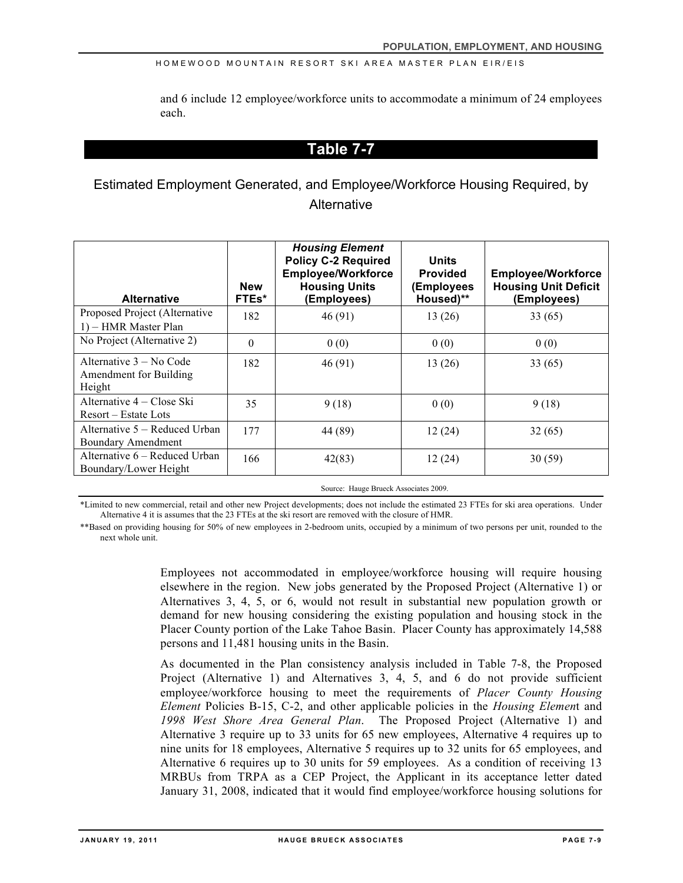and 6 include 12 employee/workforce units to accommodate a minimum of 24 employees each.

# **Table 7-7**

Estimated Employment Generated, and Employee/Workforce Housing Required, by **Alternative** 

| <b>Alternative</b>                                            | <b>New</b><br>FTEs* | <b>Housing Element</b><br><b>Policy C-2 Required</b><br><b>Employee/Workforce</b><br><b>Housing Units</b><br>(Employees) | <b>Units</b><br><b>Provided</b><br>(Employees<br>Housed)** | <b>Employee/Workforce</b><br><b>Housing Unit Deficit</b><br>(Employees) |
|---------------------------------------------------------------|---------------------|--------------------------------------------------------------------------------------------------------------------------|------------------------------------------------------------|-------------------------------------------------------------------------|
| Proposed Project (Alternative<br>1) – HMR Master Plan         | 182                 | 46(91)                                                                                                                   | 13(26)                                                     | 33(65)                                                                  |
| No Project (Alternative 2)                                    | $\theta$            | 0(0)                                                                                                                     | 0(0)                                                       | 0(0)                                                                    |
| Alternative $3 - No$ Code<br>Amendment for Building<br>Height | 182                 | 46(91)                                                                                                                   | 13(26)                                                     | 33(65)                                                                  |
| Alternative 4 – Close Ski<br>Resort – Estate Lots             | 35                  | 9(18)                                                                                                                    | 0(0)                                                       | 9(18)                                                                   |
| Alternative 5 – Reduced Urban<br>Boundary Amendment           | 177                 | 44 (89)                                                                                                                  | 12(24)                                                     | 32(65)                                                                  |
| Alternative 6 – Reduced Urban<br>Boundary/Lower Height        | 166                 | 42(83)                                                                                                                   | 12(24)                                                     | 30(59)                                                                  |
| Source: Hauge Brueck Associates 2009                          |                     |                                                                                                                          |                                                            |                                                                         |

\*Limited to new commercial, retail and other new Project developments; does not include the estimated 23 FTEs for ski area operations. Under Alternative 4 it is assumes that the 23 FTEs at the ski resort are removed with the closure of HMR.

\*\*Based on providing housing for 50% of new employees in 2-bedroom units, occupied by a minimum of two persons per unit, rounded to the next whole unit.

> Employees not accommodated in employee/workforce housing will require housing elsewhere in the region. New jobs generated by the Proposed Project (Alternative 1) or Alternatives 3, 4, 5, or 6, would not result in substantial new population growth or demand for new housing considering the existing population and housing stock in the Placer County portion of the Lake Tahoe Basin. Placer County has approximately 14,588 persons and 11,481 housing units in the Basin.

> As documented in the Plan consistency analysis included in Table 7-8, the Proposed Project (Alternative 1) and Alternatives 3, 4, 5, and 6 do not provide sufficient employee/workforce housing to meet the requirements of *Placer County Housing Element* Policies B-15, C-2, and other applicable policies in the *Housing Elemen*t and *1998 West Shore Area General Plan*. The Proposed Project (Alternative 1) and Alternative 3 require up to 33 units for 65 new employees, Alternative 4 requires up to nine units for 18 employees, Alternative 5 requires up to 32 units for 65 employees, and Alternative 6 requires up to 30 units for 59 employees. As a condition of receiving 13 MRBUs from TRPA as a CEP Project, the Applicant in its acceptance letter dated January 31, 2008, indicated that it would find employee/workforce housing solutions for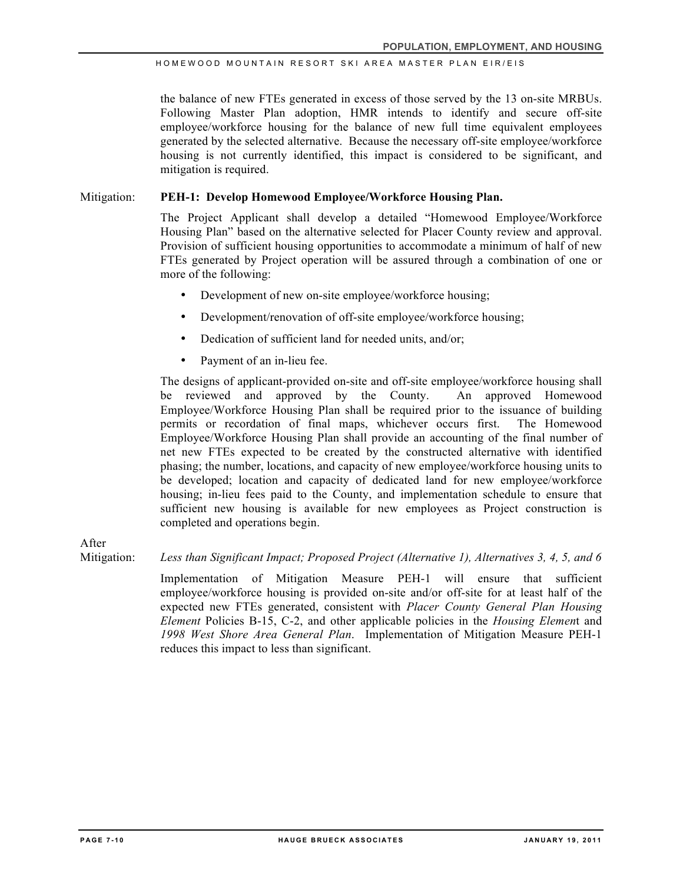the balance of new FTEs generated in excess of those served by the 13 on-site MRBUs. Following Master Plan adoption, HMR intends to identify and secure off-site employee/workforce housing for the balance of new full time equivalent employees generated by the selected alternative. Because the necessary off-site employee/workforce housing is not currently identified, this impact is considered to be significant, and mitigation is required.

### Mitigation: **PEH-1: Develop Homewood Employee/Workforce Housing Plan.**

The Project Applicant shall develop a detailed "Homewood Employee/Workforce Housing Plan" based on the alternative selected for Placer County review and approval. Provision of sufficient housing opportunities to accommodate a minimum of half of new FTEs generated by Project operation will be assured through a combination of one or more of the following:

- Development of new on-site employee/workforce housing;
- Development/renovation of off-site employee/workforce housing;
- Dedication of sufficient land for needed units, and/or;
- Payment of an in-lieu fee.

The designs of applicant-provided on-site and off-site employee/workforce housing shall be reviewed and approved by the County. An approved Homewood Employee/Workforce Housing Plan shall be required prior to the issuance of building permits or recordation of final maps, whichever occurs first. The Homewood Employee/Workforce Housing Plan shall provide an accounting of the final number of net new FTEs expected to be created by the constructed alternative with identified phasing; the number, locations, and capacity of new employee/workforce housing units to be developed; location and capacity of dedicated land for new employee/workforce housing; in-lieu fees paid to the County, and implementation schedule to ensure that sufficient new housing is available for new employees as Project construction is completed and operations begin.

After

Mitigation: *Less than Significant Impact; Proposed Project (Alternative 1), Alternatives 3, 4, 5, and 6*

Implementation of Mitigation Measure PEH-1 will ensure that sufficient employee/workforce housing is provided on-site and/or off-site for at least half of the expected new FTEs generated, consistent with *Placer County General Plan Housing Element* Policies B-15, C-2, and other applicable policies in the *Housing Elemen*t and *1998 West Shore Area General Plan*. Implementation of Mitigation Measure PEH-1 reduces this impact to less than significant.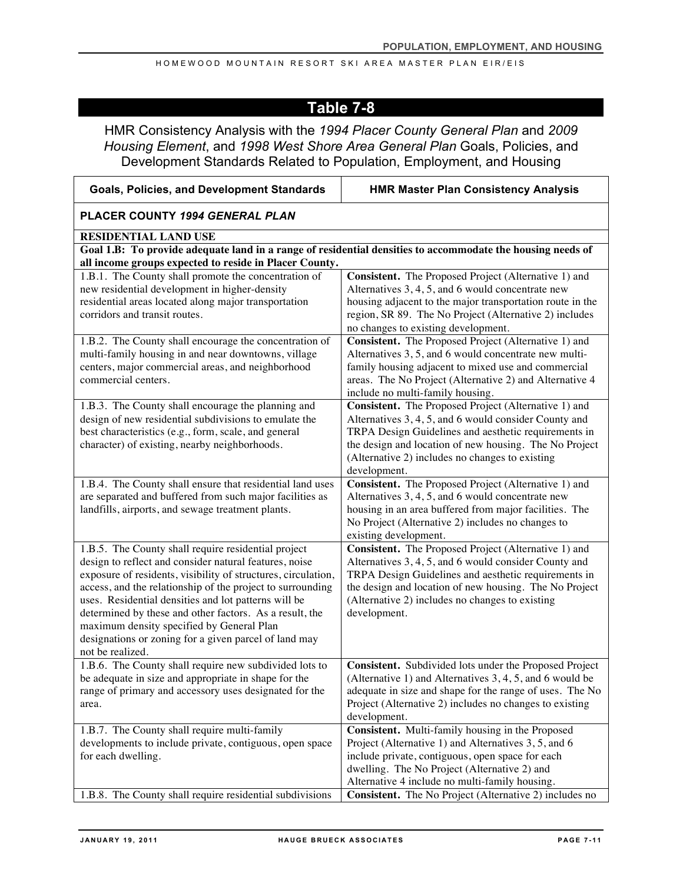# **Table 7-8**

HMR Consistency Analysis with the *1994 Placer County General Plan* and *2009 Housing Element*, and *1998 West Shore Area General Plan* Goals, Policies, and Development Standards Related to Population, Employment, and Housing

| <b>Goals, Policies, and Development Standards</b>                                                              | <b>HMR Master Plan Consistency Analysis</b>                                                                  |  |  |  |
|----------------------------------------------------------------------------------------------------------------|--------------------------------------------------------------------------------------------------------------|--|--|--|
| PLACER COUNTY 1994 GENERAL PLAN                                                                                |                                                                                                              |  |  |  |
| RESIDENTIAL LAND USE                                                                                           |                                                                                                              |  |  |  |
| Goal 1.B: To provide adequate land in a range of residential densities to accommodate the housing needs of     |                                                                                                              |  |  |  |
| all income groups expected to reside in Placer County.<br>1.B.1. The County shall promote the concentration of | Consistent. The Proposed Project (Alternative 1) and                                                         |  |  |  |
| new residential development in higher-density                                                                  | Alternatives 3, 4, 5, and 6 would concentrate new                                                            |  |  |  |
| residential areas located along major transportation                                                           | housing adjacent to the major transportation route in the                                                    |  |  |  |
| corridors and transit routes.                                                                                  | region, SR 89. The No Project (Alternative 2) includes                                                       |  |  |  |
|                                                                                                                | no changes to existing development.                                                                          |  |  |  |
| 1.B.2. The County shall encourage the concentration of                                                         | Consistent. The Proposed Project (Alternative 1) and                                                         |  |  |  |
| multi-family housing in and near downtowns, village<br>centers, major commercial areas, and neighborhood       | Alternatives 3, 5, and 6 would concentrate new multi-<br>family housing adjacent to mixed use and commercial |  |  |  |
| commercial centers.                                                                                            | areas. The No Project (Alternative 2) and Alternative 4                                                      |  |  |  |
|                                                                                                                | include no multi-family housing.                                                                             |  |  |  |
| 1.B.3. The County shall encourage the planning and                                                             | Consistent. The Proposed Project (Alternative 1) and                                                         |  |  |  |
| design of new residential subdivisions to emulate the                                                          | Alternatives 3, 4, 5, and 6 would consider County and                                                        |  |  |  |
| best characteristics (e.g., form, scale, and general                                                           | TRPA Design Guidelines and aesthetic requirements in                                                         |  |  |  |
| character) of existing, nearby neighborhoods.                                                                  | the design and location of new housing. The No Project<br>(Alternative 2) includes no changes to existing    |  |  |  |
|                                                                                                                | development.                                                                                                 |  |  |  |
| 1.B.4. The County shall ensure that residential land uses                                                      | Consistent. The Proposed Project (Alternative 1) and                                                         |  |  |  |
| are separated and buffered from such major facilities as                                                       | Alternatives 3, 4, 5, and 6 would concentrate new                                                            |  |  |  |
| landfills, airports, and sewage treatment plants.                                                              | housing in an area buffered from major facilities. The                                                       |  |  |  |
|                                                                                                                | No Project (Alternative 2) includes no changes to<br>existing development.                                   |  |  |  |
| 1.B.5. The County shall require residential project                                                            | Consistent. The Proposed Project (Alternative 1) and                                                         |  |  |  |
| design to reflect and consider natural features, noise                                                         | Alternatives 3, 4, 5, and 6 would consider County and                                                        |  |  |  |
| exposure of residents, visibility of structures, circulation,                                                  | TRPA Design Guidelines and aesthetic requirements in                                                         |  |  |  |
| access, and the relationship of the project to surrounding                                                     | the design and location of new housing. The No Project                                                       |  |  |  |
| uses. Residential densities and lot patterns will be                                                           | (Alternative 2) includes no changes to existing                                                              |  |  |  |
| determined by these and other factors. As a result, the<br>maximum density specified by General Plan           | development.                                                                                                 |  |  |  |
| designations or zoning for a given parcel of land may                                                          |                                                                                                              |  |  |  |
| not be realized.                                                                                               |                                                                                                              |  |  |  |
| 1.B.6. The County shall require new subdivided lots to                                                         | Consistent. Subdivided lots under the Proposed Project                                                       |  |  |  |
| be adequate in size and appropriate in shape for the                                                           | (Alternative 1) and Alternatives $3, 4, 5$ , and 6 would be                                                  |  |  |  |
| range of primary and accessory uses designated for the                                                         | adequate in size and shape for the range of uses. The No                                                     |  |  |  |
| area.                                                                                                          | Project (Alternative 2) includes no changes to existing<br>development.                                      |  |  |  |
| 1.B.7. The County shall require multi-family                                                                   | Consistent. Multi-family housing in the Proposed                                                             |  |  |  |
| developments to include private, contiguous, open space                                                        | Project (Alternative 1) and Alternatives 3, 5, and 6                                                         |  |  |  |
| for each dwelling.                                                                                             | include private, contiguous, open space for each                                                             |  |  |  |
|                                                                                                                | dwelling. The No Project (Alternative 2) and                                                                 |  |  |  |
|                                                                                                                | Alternative 4 include no multi-family housing.                                                               |  |  |  |
| 1.B.8. The County shall require residential subdivisions                                                       | <b>Consistent.</b> The No Project (Alternative 2) includes no                                                |  |  |  |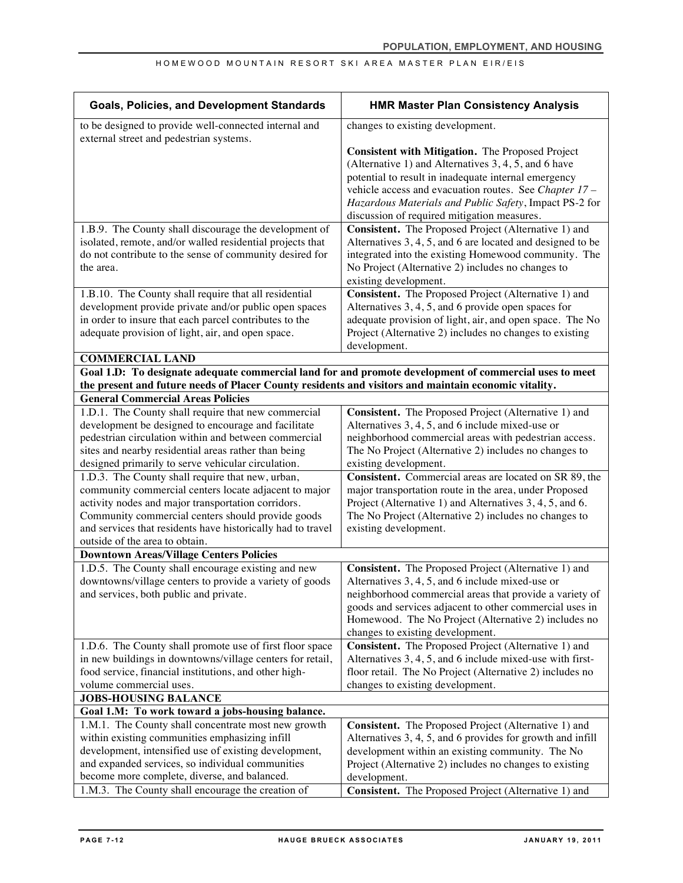| <b>Goals, Policies, and Development Standards</b>                                                                    | <b>HMR Master Plan Consistency Analysis</b>                                                                        |
|----------------------------------------------------------------------------------------------------------------------|--------------------------------------------------------------------------------------------------------------------|
| to be designed to provide well-connected internal and<br>external street and pedestrian systems.                     | changes to existing development.                                                                                   |
|                                                                                                                      | Consistent with Mitigation. The Proposed Project                                                                   |
|                                                                                                                      | (Alternative 1) and Alternatives 3, 4, 5, and 6 have                                                               |
|                                                                                                                      | potential to result in inadequate internal emergency                                                               |
|                                                                                                                      | vehicle access and evacuation routes. See Chapter 17 -                                                             |
|                                                                                                                      | Hazardous Materials and Public Safety, Impact PS-2 for                                                             |
|                                                                                                                      | discussion of required mitigation measures.                                                                        |
| 1.B.9. The County shall discourage the development of                                                                | Consistent. The Proposed Project (Alternative 1) and                                                               |
| isolated, remote, and/or walled residential projects that<br>do not contribute to the sense of community desired for | Alternatives 3, 4, 5, and 6 are located and designed to be<br>integrated into the existing Homewood community. The |
| the area.                                                                                                            | No Project (Alternative 2) includes no changes to                                                                  |
|                                                                                                                      | existing development.                                                                                              |
| 1.B.10. The County shall require that all residential                                                                | Consistent. The Proposed Project (Alternative 1) and                                                               |
| development provide private and/or public open spaces                                                                | Alternatives 3, 4, 5, and 6 provide open spaces for                                                                |
| in order to insure that each parcel contributes to the                                                               | adequate provision of light, air, and open space. The No                                                           |
| adequate provision of light, air, and open space.                                                                    | Project (Alternative 2) includes no changes to existing                                                            |
|                                                                                                                      | development.                                                                                                       |
| <b>COMMERCIAL LAND</b>                                                                                               |                                                                                                                    |
| Goal 1.D: To designate adequate commercial land for and promote development of commercial uses to meet               |                                                                                                                    |
| the present and future needs of Placer County residents and visitors and maintain economic vitality.                 |                                                                                                                    |
| <b>General Commercial Areas Policies</b>                                                                             |                                                                                                                    |
| 1.D.1. The County shall require that new commercial                                                                  | Consistent. The Proposed Project (Alternative 1) and                                                               |
| development be designed to encourage and facilitate                                                                  | Alternatives 3, 4, 5, and 6 include mixed-use or                                                                   |
| pedestrian circulation within and between commercial<br>sites and nearby residential areas rather than being         | neighborhood commercial areas with pedestrian access.<br>The No Project (Alternative 2) includes no changes to     |
| designed primarily to serve vehicular circulation.                                                                   | existing development.                                                                                              |
| 1.D.3. The County shall require that new, urban,                                                                     | Consistent. Commercial areas are located on SR 89, the                                                             |
| community commercial centers locate adjacent to major                                                                | major transportation route in the area, under Proposed                                                             |
| activity nodes and major transportation corridors.                                                                   | Project (Alternative 1) and Alternatives 3, 4, 5, and 6.                                                           |
| Community commercial centers should provide goods                                                                    | The No Project (Alternative 2) includes no changes to                                                              |
| and services that residents have historically had to travel                                                          | existing development.                                                                                              |
| outside of the area to obtain.                                                                                       |                                                                                                                    |
| <b>Downtown Areas/Village Centers Policies</b>                                                                       |                                                                                                                    |
| 1.D.5. The County shall encourage existing and new                                                                   | Consistent. The Proposed Project (Alternative 1) and                                                               |
| downtowns/village centers to provide a variety of goods                                                              | Alternatives 3, 4, 5, and 6 include mixed-use or                                                                   |
| and services, both public and private.                                                                               | neighborhood commercial areas that provide a variety of<br>goods and services adjacent to other commercial uses in |
|                                                                                                                      | Homewood. The No Project (Alternative 2) includes no                                                               |
|                                                                                                                      | changes to existing development.                                                                                   |
| 1.D.6. The County shall promote use of first floor space                                                             | Consistent. The Proposed Project (Alternative 1) and                                                               |
| in new buildings in downtowns/village centers for retail,                                                            | Alternatives 3, 4, 5, and 6 include mixed-use with first-                                                          |
| food service, financial institutions, and other high-                                                                | floor retail. The No Project (Alternative 2) includes no                                                           |
| volume commercial uses.                                                                                              | changes to existing development.                                                                                   |
| <b>JOBS-HOUSING BALANCE</b>                                                                                          |                                                                                                                    |
| Goal 1.M: To work toward a jobs-housing balance.                                                                     |                                                                                                                    |
| 1.M.1. The County shall concentrate most new growth                                                                  | Consistent. The Proposed Project (Alternative 1) and                                                               |
| within existing communities emphasizing infill                                                                       | Alternatives 3, 4, 5, and 6 provides for growth and infill                                                         |
| development, intensified use of existing development,                                                                | development within an existing community. The No                                                                   |
| and expanded services, so individual communities                                                                     | Project (Alternative 2) includes no changes to existing                                                            |
| become more complete, diverse, and balanced.                                                                         | development.                                                                                                       |
| 1.M.3. The County shall encourage the creation of                                                                    | Consistent. The Proposed Project (Alternative 1) and                                                               |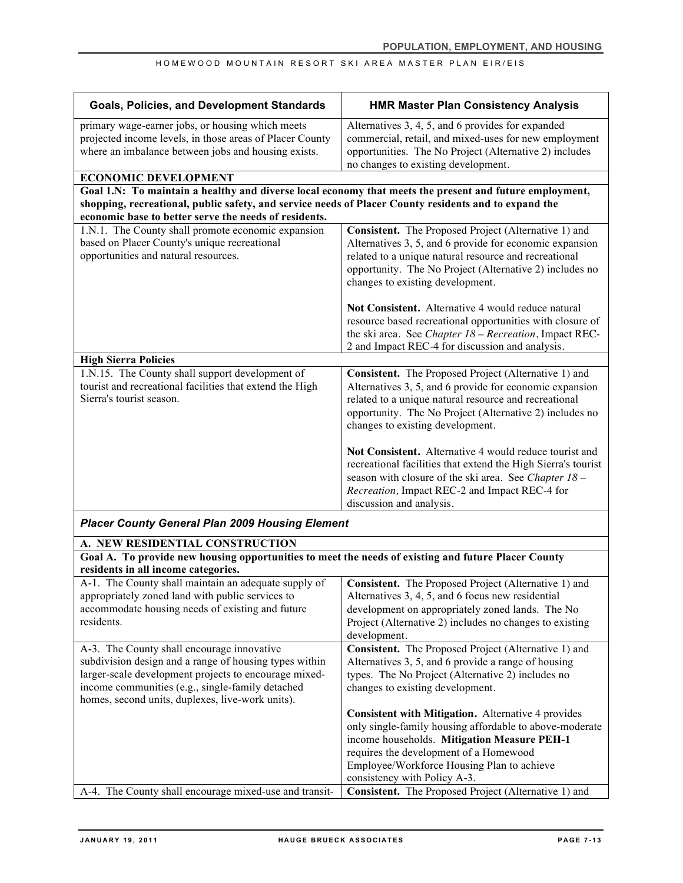| <b>Goals, Policies, and Development Standards</b>                                                                                                                                                  | <b>HMR Master Plan Consistency Analysis</b>                                                                                                                                                                 |
|----------------------------------------------------------------------------------------------------------------------------------------------------------------------------------------------------|-------------------------------------------------------------------------------------------------------------------------------------------------------------------------------------------------------------|
| primary wage-earner jobs, or housing which meets<br>projected income levels, in those areas of Placer County<br>where an imbalance between jobs and housing exists.<br><b>ECONOMIC DEVELOPMENT</b> | Alternatives 3, 4, 5, and 6 provides for expanded<br>commercial, retail, and mixed-uses for new employment<br>opportunities. The No Project (Alternative 2) includes<br>no changes to existing development. |
| Goal 1.N: To maintain a healthy and diverse local economy that meets the present and future employment,                                                                                            |                                                                                                                                                                                                             |
| shopping, recreational, public safety, and service needs of Placer County residents and to expand the                                                                                              |                                                                                                                                                                                                             |
| economic base to better serve the needs of residents.                                                                                                                                              |                                                                                                                                                                                                             |
| 1.N.1. The County shall promote economic expansion                                                                                                                                                 | Consistent. The Proposed Project (Alternative 1) and                                                                                                                                                        |
| based on Placer County's unique recreational                                                                                                                                                       | Alternatives 3, 5, and 6 provide for economic expansion                                                                                                                                                     |
| opportunities and natural resources.                                                                                                                                                               | related to a unique natural resource and recreational                                                                                                                                                       |
|                                                                                                                                                                                                    | opportunity. The No Project (Alternative 2) includes no                                                                                                                                                     |
|                                                                                                                                                                                                    | changes to existing development.                                                                                                                                                                            |
|                                                                                                                                                                                                    |                                                                                                                                                                                                             |
|                                                                                                                                                                                                    | Not Consistent. Alternative 4 would reduce natural                                                                                                                                                          |
|                                                                                                                                                                                                    | resource based recreational opportunities with closure of                                                                                                                                                   |
|                                                                                                                                                                                                    | the ski area. See Chapter 18 - Recreation, Impact REC-                                                                                                                                                      |
|                                                                                                                                                                                                    | 2 and Impact REC-4 for discussion and analysis.                                                                                                                                                             |
| <b>High Sierra Policies</b>                                                                                                                                                                        |                                                                                                                                                                                                             |
| 1.N.15. The County shall support development of                                                                                                                                                    | Consistent. The Proposed Project (Alternative 1) and                                                                                                                                                        |
| tourist and recreational facilities that extend the High                                                                                                                                           | Alternatives 3, 5, and 6 provide for economic expansion                                                                                                                                                     |
| Sierra's tourist season.                                                                                                                                                                           | related to a unique natural resource and recreational                                                                                                                                                       |
|                                                                                                                                                                                                    | opportunity. The No Project (Alternative 2) includes no                                                                                                                                                     |
|                                                                                                                                                                                                    | changes to existing development.                                                                                                                                                                            |
|                                                                                                                                                                                                    | Not Consistent. Alternative 4 would reduce tourist and                                                                                                                                                      |
|                                                                                                                                                                                                    | recreational facilities that extend the High Sierra's tourist                                                                                                                                               |
|                                                                                                                                                                                                    | season with closure of the ski area. See Chapter 18 -                                                                                                                                                       |
|                                                                                                                                                                                                    | Recreation, Impact REC-2 and Impact REC-4 for                                                                                                                                                               |
|                                                                                                                                                                                                    | discussion and analysis.                                                                                                                                                                                    |
| <b>Placer County General Plan 2009 Housing Element</b>                                                                                                                                             |                                                                                                                                                                                                             |
|                                                                                                                                                                                                    |                                                                                                                                                                                                             |
| A. NEW RESIDENTIAL CONSTRUCTION                                                                                                                                                                    |                                                                                                                                                                                                             |
| Goal A. To provide new housing opportunities to meet the needs of existing and future Placer County                                                                                                |                                                                                                                                                                                                             |
| residents in all income categories.                                                                                                                                                                |                                                                                                                                                                                                             |
| A-1. The County shall maintain an adequate supply of<br>appropriately zoned land with public services to                                                                                           | Consistent. The Proposed Project (Alternative 1) and                                                                                                                                                        |
| accommodate housing needs of existing and future                                                                                                                                                   | Alternatives 3, 4, 5, and 6 focus new residential<br>development on appropriately zoned lands. The No                                                                                                       |
| residents.                                                                                                                                                                                         | Project (Alternative 2) includes no changes to existing                                                                                                                                                     |
|                                                                                                                                                                                                    | development.                                                                                                                                                                                                |
| A-3. The County shall encourage innovative                                                                                                                                                         | Consistent. The Proposed Project (Alternative 1) and                                                                                                                                                        |
| subdivision design and a range of housing types within                                                                                                                                             | Alternatives 3, 5, and 6 provide a range of housing                                                                                                                                                         |
| larger-scale development projects to encourage mixed-                                                                                                                                              | types. The No Project (Alternative 2) includes no                                                                                                                                                           |
| income communities (e.g., single-family detached                                                                                                                                                   | changes to existing development.                                                                                                                                                                            |
| homes, second units, duplexes, live-work units).                                                                                                                                                   |                                                                                                                                                                                                             |
|                                                                                                                                                                                                    | Consistent with Mitigation. Alternative 4 provides                                                                                                                                                          |
|                                                                                                                                                                                                    | only single-family housing affordable to above-moderate                                                                                                                                                     |
|                                                                                                                                                                                                    | income households. Mitigation Measure PEH-1                                                                                                                                                                 |
|                                                                                                                                                                                                    | requires the development of a Homewood                                                                                                                                                                      |
|                                                                                                                                                                                                    | Employee/Workforce Housing Plan to achieve                                                                                                                                                                  |
|                                                                                                                                                                                                    | consistency with Policy A-3.                                                                                                                                                                                |
| A-4. The County shall encourage mixed-use and transit-                                                                                                                                             | Consistent. The Proposed Project (Alternative 1) and                                                                                                                                                        |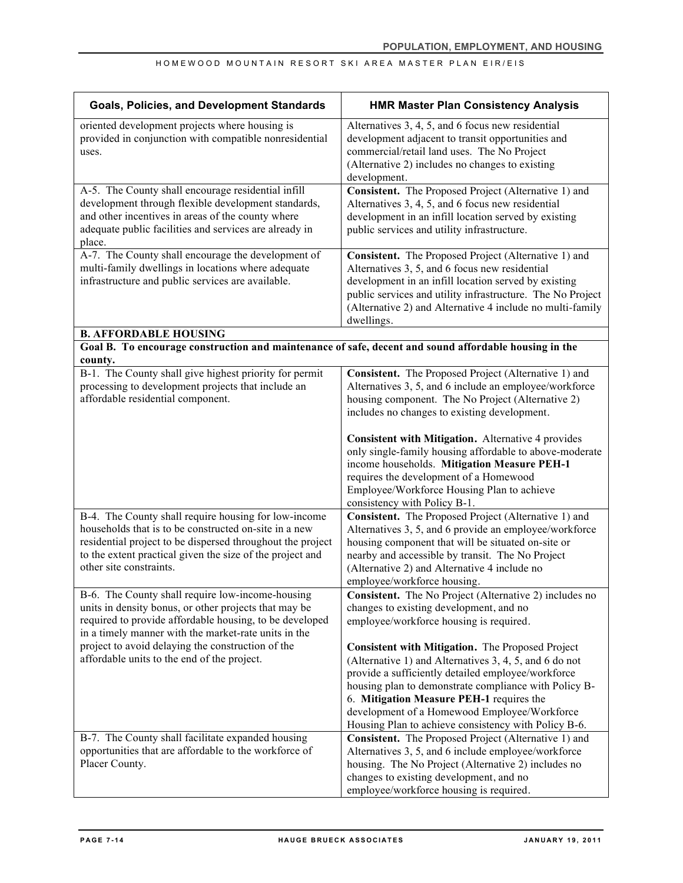| <b>Goals, Policies, and Development Standards</b>                                                                                                                                                                                                                   | <b>HMR Master Plan Consistency Analysis</b>                                                                                                                                                                                                                                                                                                                                   |
|---------------------------------------------------------------------------------------------------------------------------------------------------------------------------------------------------------------------------------------------------------------------|-------------------------------------------------------------------------------------------------------------------------------------------------------------------------------------------------------------------------------------------------------------------------------------------------------------------------------------------------------------------------------|
| oriented development projects where housing is<br>provided in conjunction with compatible nonresidential<br>uses.                                                                                                                                                   | Alternatives 3, 4, 5, and 6 focus new residential<br>development adjacent to transit opportunities and<br>commercial/retail land uses. The No Project<br>(Alternative 2) includes no changes to existing<br>development.                                                                                                                                                      |
| A-5. The County shall encourage residential infill<br>development through flexible development standards,<br>and other incentives in areas of the county where<br>adequate public facilities and services are already in<br>place.                                  | Consistent. The Proposed Project (Alternative 1) and<br>Alternatives 3, 4, 5, and 6 focus new residential<br>development in an infill location served by existing<br>public services and utility infrastructure.                                                                                                                                                              |
| A-7. The County shall encourage the development of<br>multi-family dwellings in locations where adequate<br>infrastructure and public services are available.                                                                                                       | Consistent. The Proposed Project (Alternative 1) and<br>Alternatives 3, 5, and 6 focus new residential<br>development in an infill location served by existing<br>public services and utility infrastructure. The No Project<br>(Alternative 2) and Alternative 4 include no multi-family<br>dwellings.                                                                       |
| <b>B. AFFORDABLE HOUSING</b><br>Goal B. To encourage construction and maintenance of safe, decent and sound affordable housing in the                                                                                                                               |                                                                                                                                                                                                                                                                                                                                                                               |
| county.                                                                                                                                                                                                                                                             |                                                                                                                                                                                                                                                                                                                                                                               |
| B-1. The County shall give highest priority for permit<br>processing to development projects that include an<br>affordable residential component.                                                                                                                   | Consistent. The Proposed Project (Alternative 1) and<br>Alternatives 3, 5, and 6 include an employee/workforce<br>housing component. The No Project (Alternative 2)<br>includes no changes to existing development.                                                                                                                                                           |
|                                                                                                                                                                                                                                                                     | Consistent with Mitigation. Alternative 4 provides<br>only single-family housing affordable to above-moderate<br>income households. Mitigation Measure PEH-1<br>requires the development of a Homewood<br>Employee/Workforce Housing Plan to achieve<br>consistency with Policy B-1.                                                                                          |
| B-4. The County shall require housing for low-income<br>households that is to be constructed on-site in a new<br>residential project to be dispersed throughout the project<br>to the extent practical given the size of the project and<br>other site constraints. | Consistent. The Proposed Project (Alternative 1) and<br>Alternatives 3, 5, and 6 provide an employee/workforce<br>housing component that will be situated on-site or<br>nearby and accessible by transit. The No Project<br>(Alternative 2) and Alternative 4 include no<br>employee/workforce housing.                                                                       |
| B-6. The County shall require low-income-housing<br>units in density bonus, or other projects that may be<br>required to provide affordable housing, to be developed<br>in a timely manner with the market-rate units in the                                        | Consistent. The No Project (Alternative 2) includes no<br>changes to existing development, and no<br>employee/workforce housing is required.                                                                                                                                                                                                                                  |
| project to avoid delaying the construction of the<br>affordable units to the end of the project.                                                                                                                                                                    | Consistent with Mitigation. The Proposed Project<br>(Alternative 1) and Alternatives 3, 4, 5, and 6 do not<br>provide a sufficiently detailed employee/workforce<br>housing plan to demonstrate compliance with Policy B-<br>6. Mitigation Measure PEH-1 requires the<br>development of a Homewood Employee/Workforce<br>Housing Plan to achieve consistency with Policy B-6. |
| B-7. The County shall facilitate expanded housing<br>opportunities that are affordable to the workforce of<br>Placer County.                                                                                                                                        | Consistent. The Proposed Project (Alternative 1) and<br>Alternatives 3, 5, and 6 include employee/workforce<br>housing. The No Project (Alternative 2) includes no<br>changes to existing development, and no<br>employee/workforce housing is required.                                                                                                                      |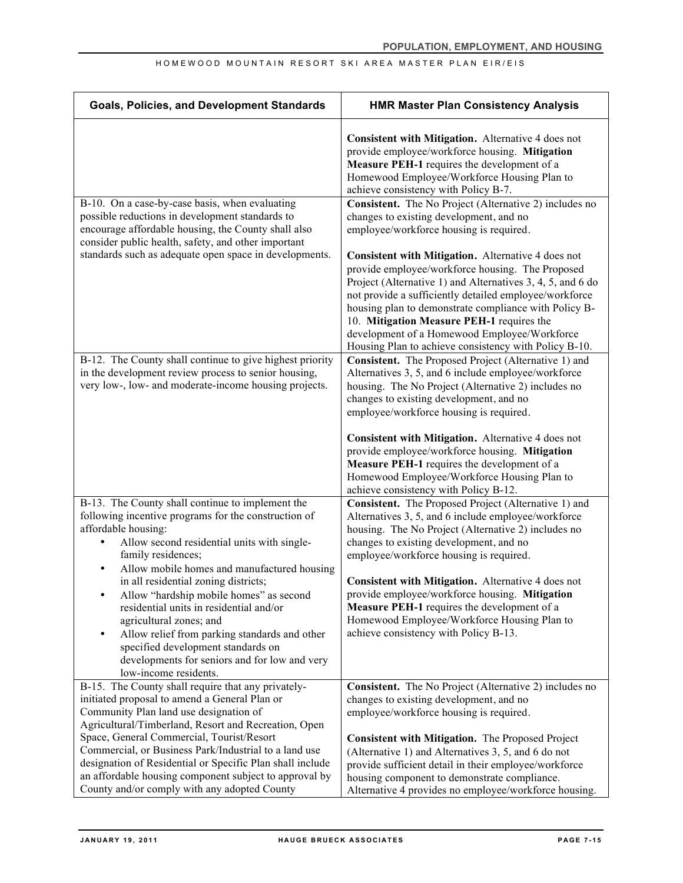| <b>Goals, Policies, and Development Standards</b>                                                                                                                                                                                                                                                                                   | <b>HMR Master Plan Consistency Analysis</b>                                                                                                                                                                                                                                                                                                                                                                                                                             |
|-------------------------------------------------------------------------------------------------------------------------------------------------------------------------------------------------------------------------------------------------------------------------------------------------------------------------------------|-------------------------------------------------------------------------------------------------------------------------------------------------------------------------------------------------------------------------------------------------------------------------------------------------------------------------------------------------------------------------------------------------------------------------------------------------------------------------|
|                                                                                                                                                                                                                                                                                                                                     | Consistent with Mitigation. Alternative 4 does not<br>provide employee/workforce housing. Mitigation<br>Measure PEH-1 requires the development of a<br>Homewood Employee/Workforce Housing Plan to<br>achieve consistency with Policy B-7.                                                                                                                                                                                                                              |
| B-10. On a case-by-case basis, when evaluating<br>possible reductions in development standards to<br>encourage affordable housing, the County shall also<br>consider public health, safety, and other important<br>standards such as adequate open space in developments.                                                           | Consistent. The No Project (Alternative 2) includes no<br>changes to existing development, and no<br>employee/workforce housing is required.<br>Consistent with Mitigation. Alternative 4 does not<br>provide employee/workforce housing. The Proposed<br>Project (Alternative 1) and Alternatives 3, 4, 5, and 6 do<br>not provide a sufficiently detailed employee/workforce                                                                                          |
| B-12. The County shall continue to give highest priority<br>in the development review process to senior housing,<br>very low-, low- and moderate-income housing projects.                                                                                                                                                           | housing plan to demonstrate compliance with Policy B-<br>10. Mitigation Measure PEH-1 requires the<br>development of a Homewood Employee/Workforce<br>Housing Plan to achieve consistency with Policy B-10.<br>Consistent. The Proposed Project (Alternative 1) and<br>Alternatives 3, 5, and 6 include employee/workforce<br>housing. The No Project (Alternative 2) includes no<br>changes to existing development, and no<br>employee/workforce housing is required. |
|                                                                                                                                                                                                                                                                                                                                     | Consistent with Mitigation. Alternative 4 does not<br>provide employee/workforce housing. Mitigation<br>Measure PEH-1 requires the development of a<br>Homewood Employee/Workforce Housing Plan to<br>achieve consistency with Policy B-12.                                                                                                                                                                                                                             |
| B-13. The County shall continue to implement the<br>following incentive programs for the construction of<br>affordable housing:<br>Allow second residential units with single-<br>family residences;<br>Allow mobile homes and manufactured housing<br>$\bullet$                                                                    | Consistent. The Proposed Project (Alternative 1) and<br>Alternatives 3, 5, and 6 include employee/workforce<br>housing. The No Project (Alternative 2) includes no<br>changes to existing development, and no<br>employee/workforce housing is required.                                                                                                                                                                                                                |
| in all residential zoning districts;<br>Allow "hardship mobile homes" as second<br>residential units in residential and/or<br>agricultural zones; and<br>Allow relief from parking standards and other<br>$\bullet$<br>specified development standards on<br>developments for seniors and for low and very<br>low-income residents. | Consistent with Mitigation. Alternative 4 does not<br>provide employee/workforce housing. Mitigation<br>Measure PEH-1 requires the development of a<br>Homewood Employee/Workforce Housing Plan to<br>achieve consistency with Policy B-13.                                                                                                                                                                                                                             |
| B-15. The County shall require that any privately-<br>initiated proposal to amend a General Plan or<br>Community Plan land use designation of<br>Agricultural/Timberland, Resort and Recreation, Open                                                                                                                               | Consistent. The No Project (Alternative 2) includes no<br>changes to existing development, and no<br>employee/workforce housing is required.                                                                                                                                                                                                                                                                                                                            |
| Space, General Commercial, Tourist/Resort<br>Commercial, or Business Park/Industrial to a land use<br>designation of Residential or Specific Plan shall include<br>an affordable housing component subject to approval by<br>County and/or comply with any adopted County                                                           | Consistent with Mitigation. The Proposed Project<br>(Alternative 1) and Alternatives 3, 5, and 6 do not<br>provide sufficient detail in their employee/workforce<br>housing component to demonstrate compliance.<br>Alternative 4 provides no employee/workforce housing.                                                                                                                                                                                               |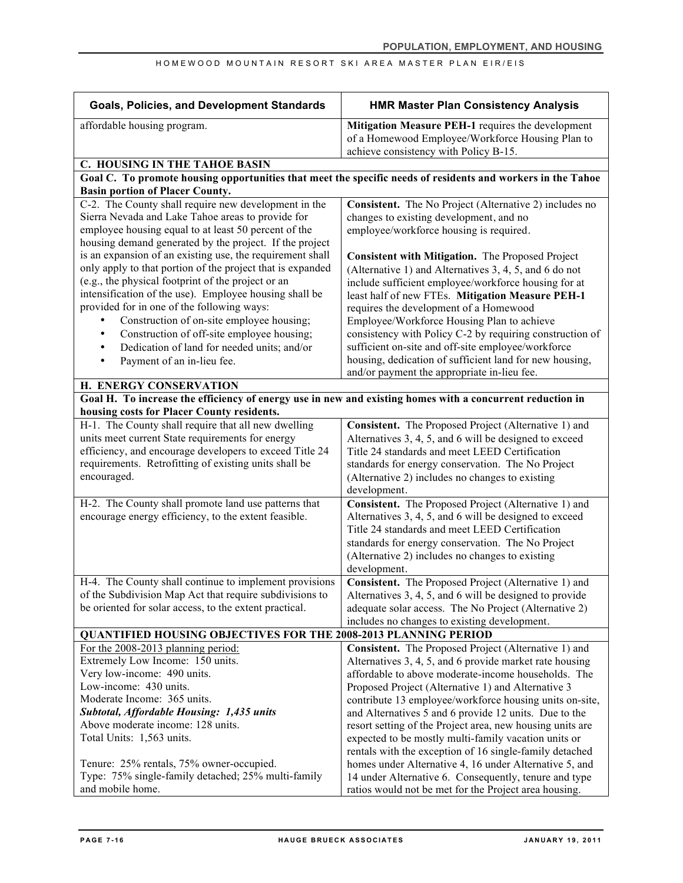| <b>Goals, Policies, and Development Standards</b>                                                                                                                                                                                                                                     | <b>HMR Master Plan Consistency Analysis</b>                                                                                                                                                                                                                                              |
|---------------------------------------------------------------------------------------------------------------------------------------------------------------------------------------------------------------------------------------------------------------------------------------|------------------------------------------------------------------------------------------------------------------------------------------------------------------------------------------------------------------------------------------------------------------------------------------|
| affordable housing program.                                                                                                                                                                                                                                                           | Mitigation Measure PEH-1 requires the development<br>of a Homewood Employee/Workforce Housing Plan to<br>achieve consistency with Policy B-15.                                                                                                                                           |
| C. HOUSING IN THE TAHOE BASIN                                                                                                                                                                                                                                                         |                                                                                                                                                                                                                                                                                          |
| Goal C. To promote housing opportunities that meet the specific needs of residents and workers in the Tahoe<br><b>Basin portion of Placer County.</b>                                                                                                                                 |                                                                                                                                                                                                                                                                                          |
| C-2. The County shall require new development in the                                                                                                                                                                                                                                  | Consistent. The No Project (Alternative 2) includes no                                                                                                                                                                                                                                   |
| Sierra Nevada and Lake Tahoe areas to provide for<br>employee housing equal to at least 50 percent of the<br>housing demand generated by the project. If the project                                                                                                                  | changes to existing development, and no<br>employee/workforce housing is required.                                                                                                                                                                                                       |
| is an expansion of an existing use, the requirement shall<br>only apply to that portion of the project that is expanded<br>(e.g., the physical footprint of the project or an<br>intensification of the use). Employee housing shall be<br>provided for in one of the following ways: | Consistent with Mitigation. The Proposed Project<br>(Alternative 1) and Alternatives 3, 4, 5, and 6 do not<br>include sufficient employee/workforce housing for at<br>least half of new FTEs. Mitigation Measure PEH-1<br>requires the development of a Homewood                         |
| Construction of on-site employee housing;<br>Construction of off-site employee housing;                                                                                                                                                                                               | Employee/Workforce Housing Plan to achieve<br>consistency with Policy C-2 by requiring construction of                                                                                                                                                                                   |
| Dedication of land for needed units; and/or<br>$\bullet$<br>Payment of an in-lieu fee.<br>$\bullet$                                                                                                                                                                                   | sufficient on-site and off-site employee/workforce<br>housing, dedication of sufficient land for new housing,<br>and/or payment the appropriate in-lieu fee.                                                                                                                             |
| H. ENERGY CONSERVATION                                                                                                                                                                                                                                                                |                                                                                                                                                                                                                                                                                          |
| Goal H. To increase the efficiency of energy use in new and existing homes with a concurrent reduction in<br>housing costs for Placer County residents.                                                                                                                               |                                                                                                                                                                                                                                                                                          |
| H-1. The County shall require that all new dwelling<br>units meet current State requirements for energy<br>efficiency, and encourage developers to exceed Title 24<br>requirements. Retrofitting of existing units shall be<br>encouraged.                                            | Consistent. The Proposed Project (Alternative 1) and<br>Alternatives 3, 4, 5, and 6 will be designed to exceed<br>Title 24 standards and meet LEED Certification<br>standards for energy conservation. The No Project<br>(Alternative 2) includes no changes to existing<br>development. |
| H-2. The County shall promote land use patterns that<br>encourage energy efficiency, to the extent feasible.                                                                                                                                                                          | Consistent. The Proposed Project (Alternative 1) and<br>Alternatives 3, 4, 5, and 6 will be designed to exceed<br>Title 24 standards and meet LEED Certification<br>standards for energy conservation. The No Project<br>(Alternative 2) includes no changes to existing<br>development. |
| H-4. The County shall continue to implement provisions<br>of the Subdivision Map Act that require subdivisions to<br>be oriented for solar access, to the extent practical.                                                                                                           | Consistent. The Proposed Project (Alternative 1) and<br>Alternatives 3, 4, 5, and 6 will be designed to provide<br>adequate solar access. The No Project (Alternative 2)<br>includes no changes to existing development.                                                                 |
| <b>QUANTIFIED HOUSING OBJECTIVES FOR THE 2008-2013 PLANNING PERIOD</b>                                                                                                                                                                                                                |                                                                                                                                                                                                                                                                                          |
| For the 2008-2013 planning period:<br>Extremely Low Income: 150 units.                                                                                                                                                                                                                | Consistent. The Proposed Project (Alternative 1) and<br>Alternatives 3, 4, 5, and 6 provide market rate housing                                                                                                                                                                          |
| Very low-income: 490 units.                                                                                                                                                                                                                                                           | affordable to above moderate-income households. The                                                                                                                                                                                                                                      |
| Low-income: 430 units.                                                                                                                                                                                                                                                                | Proposed Project (Alternative 1) and Alternative 3                                                                                                                                                                                                                                       |
| Moderate Income: 365 units.                                                                                                                                                                                                                                                           | contribute 13 employee/workforce housing units on-site,                                                                                                                                                                                                                                  |
| Subtotal, Affordable Housing: 1,435 units                                                                                                                                                                                                                                             | and Alternatives 5 and 6 provide 12 units. Due to the                                                                                                                                                                                                                                    |
| Above moderate income: 128 units.<br>Total Units: 1,563 units.                                                                                                                                                                                                                        | resort setting of the Project area, new housing units are<br>expected to be mostly multi-family vacation units or<br>rentals with the exception of 16 single-family detached                                                                                                             |
| Tenure: 25% rentals, 75% owner-occupied.<br>Type: 75% single-family detached; 25% multi-family<br>and mobile home.                                                                                                                                                                    | homes under Alternative 4, 16 under Alternative 5, and<br>14 under Alternative 6. Consequently, tenure and type<br>ratios would not be met for the Project area housing.                                                                                                                 |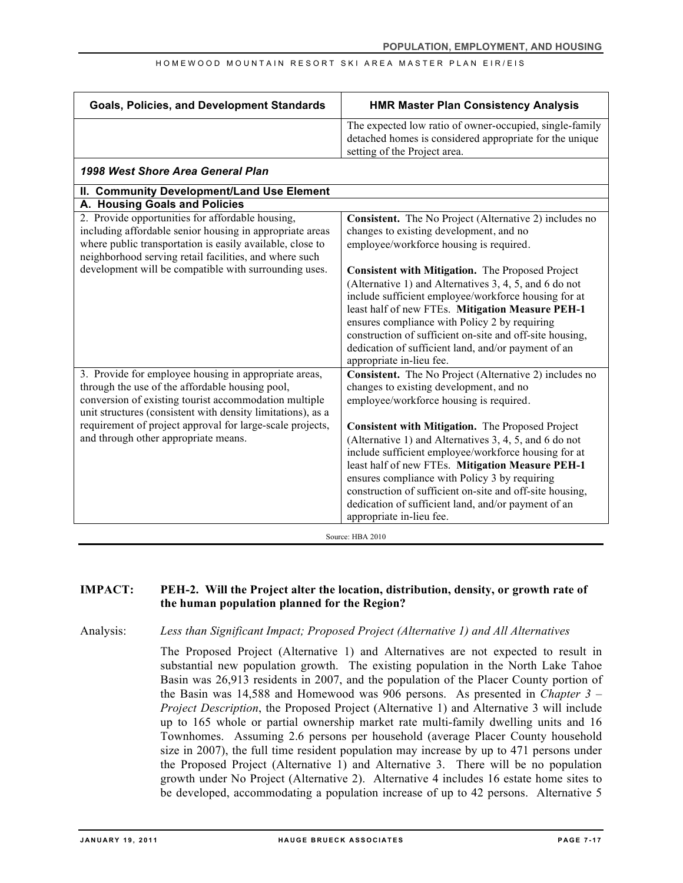| <b>Goals, Policies, and Development Standards</b>                                                                                                                                                                                                                                                                                     | <b>HMR Master Plan Consistency Analysis</b>                                                                                                                                                                                                                                                                                                                                                                                                                                                                                                                                   |
|---------------------------------------------------------------------------------------------------------------------------------------------------------------------------------------------------------------------------------------------------------------------------------------------------------------------------------------|-------------------------------------------------------------------------------------------------------------------------------------------------------------------------------------------------------------------------------------------------------------------------------------------------------------------------------------------------------------------------------------------------------------------------------------------------------------------------------------------------------------------------------------------------------------------------------|
|                                                                                                                                                                                                                                                                                                                                       | The expected low ratio of owner-occupied, single-family<br>detached homes is considered appropriate for the unique<br>setting of the Project area.                                                                                                                                                                                                                                                                                                                                                                                                                            |
| 1998 West Shore Area General Plan                                                                                                                                                                                                                                                                                                     |                                                                                                                                                                                                                                                                                                                                                                                                                                                                                                                                                                               |
| II. Community Development/Land Use Element                                                                                                                                                                                                                                                                                            |                                                                                                                                                                                                                                                                                                                                                                                                                                                                                                                                                                               |
| A. Housing Goals and Policies                                                                                                                                                                                                                                                                                                         |                                                                                                                                                                                                                                                                                                                                                                                                                                                                                                                                                                               |
| 2. Provide opportunities for affordable housing,<br>including affordable senior housing in appropriate areas<br>where public transportation is easily available, close to<br>neighborhood serving retail facilities, and where such<br>development will be compatible with surrounding uses.                                          | Consistent. The No Project (Alternative 2) includes no<br>changes to existing development, and no<br>employee/workforce housing is required.<br>Consistent with Mitigation. The Proposed Project<br>(Alternative 1) and Alternatives 3, 4, 5, and 6 do not<br>include sufficient employee/workforce housing for at<br>least half of new FTEs. Mitigation Measure PEH-1<br>ensures compliance with Policy 2 by requiring<br>construction of sufficient on-site and off-site housing,<br>dedication of sufficient land, and/or payment of an<br>appropriate in-lieu fee.        |
| 3. Provide for employee housing in appropriate areas,<br>through the use of the affordable housing pool,<br>conversion of existing tourist accommodation multiple<br>unit structures (consistent with density limitations), as a<br>requirement of project approval for large-scale projects,<br>and through other appropriate means. | Consistent. The No Project (Alternative 2) includes no<br>changes to existing development, and no<br>employee/workforce housing is required.<br><b>Consistent with Mitigation.</b> The Proposed Project<br>(Alternative 1) and Alternatives 3, 4, 5, and 6 do not<br>include sufficient employee/workforce housing for at<br>least half of new FTEs. Mitigation Measure PEH-1<br>ensures compliance with Policy 3 by requiring<br>construction of sufficient on-site and off-site housing,<br>dedication of sufficient land, and/or payment of an<br>appropriate in-lieu fee. |

### **IMPACT: PEH-2. Will the Project alter the location, distribution, density, or growth rate of the human population planned for the Region?**

Analysis: *Less than Significant Impact; Proposed Project (Alternative 1) and All Alternatives*

The Proposed Project (Alternative 1) and Alternatives are not expected to result in substantial new population growth. The existing population in the North Lake Tahoe Basin was 26,913 residents in 2007, and the population of the Placer County portion of the Basin was 14,588 and Homewood was 906 persons. As presented in *Chapter 3 – Project Description*, the Proposed Project (Alternative 1) and Alternative 3 will include up to 165 whole or partial ownership market rate multi-family dwelling units and 16 Townhomes. Assuming 2.6 persons per household (average Placer County household size in 2007), the full time resident population may increase by up to 471 persons under the Proposed Project (Alternative 1) and Alternative 3. There will be no population growth under No Project (Alternative 2). Alternative 4 includes 16 estate home sites to be developed, accommodating a population increase of up to 42 persons. Alternative 5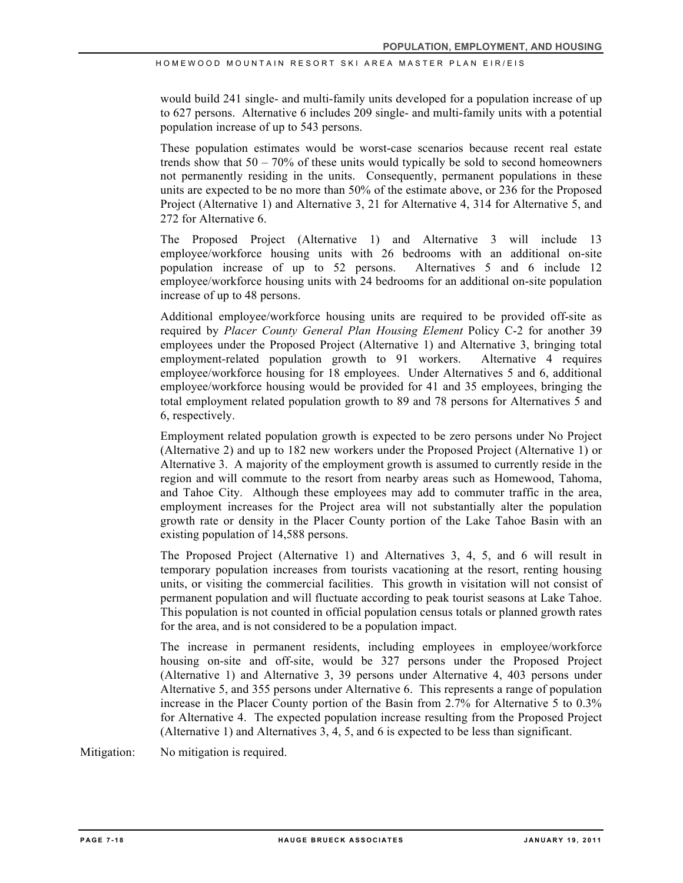would build 241 single- and multi-family units developed for a population increase of up to 627 persons. Alternative 6 includes 209 single- and multi-family units with a potential population increase of up to 543 persons.

These population estimates would be worst-case scenarios because recent real estate trends show that  $50 - 70\%$  of these units would typically be sold to second homeowners not permanently residing in the units. Consequently, permanent populations in these units are expected to be no more than 50% of the estimate above, or 236 for the Proposed Project (Alternative 1) and Alternative 3, 21 for Alternative 4, 314 for Alternative 5, and 272 for Alternative 6

The Proposed Project (Alternative 1) and Alternative 3 will include 13 employee/workforce housing units with 26 bedrooms with an additional on-site population increase of up to 52 persons. Alternatives 5 and 6 include 12 employee/workforce housing units with 24 bedrooms for an additional on-site population increase of up to 48 persons.

Additional employee/workforce housing units are required to be provided off-site as required by *Placer County General Plan Housing Element* Policy C-2 for another 39 employees under the Proposed Project (Alternative 1) and Alternative 3, bringing total employment-related population growth to 91 workers. Alternative 4 requires employee/workforce housing for 18 employees. Under Alternatives 5 and 6, additional employee/workforce housing would be provided for 41 and 35 employees, bringing the total employment related population growth to 89 and 78 persons for Alternatives 5 and 6, respectively.

Employment related population growth is expected to be zero persons under No Project (Alternative 2) and up to 182 new workers under the Proposed Project (Alternative 1) or Alternative 3. A majority of the employment growth is assumed to currently reside in the region and will commute to the resort from nearby areas such as Homewood, Tahoma, and Tahoe City. Although these employees may add to commuter traffic in the area, employment increases for the Project area will not substantially alter the population growth rate or density in the Placer County portion of the Lake Tahoe Basin with an existing population of 14,588 persons.

The Proposed Project (Alternative 1) and Alternatives 3, 4, 5, and 6 will result in temporary population increases from tourists vacationing at the resort, renting housing units, or visiting the commercial facilities. This growth in visitation will not consist of permanent population and will fluctuate according to peak tourist seasons at Lake Tahoe. This population is not counted in official population census totals or planned growth rates for the area, and is not considered to be a population impact.

The increase in permanent residents, including employees in employee/workforce housing on-site and off-site, would be 327 persons under the Proposed Project (Alternative 1) and Alternative 3, 39 persons under Alternative 4, 403 persons under Alternative 5, and 355 persons under Alternative 6. This represents a range of population increase in the Placer County portion of the Basin from 2.7% for Alternative 5 to 0.3% for Alternative 4. The expected population increase resulting from the Proposed Project (Alternative 1) and Alternatives 3, 4, 5, and 6 is expected to be less than significant.

Mitigation: No mitigation is required.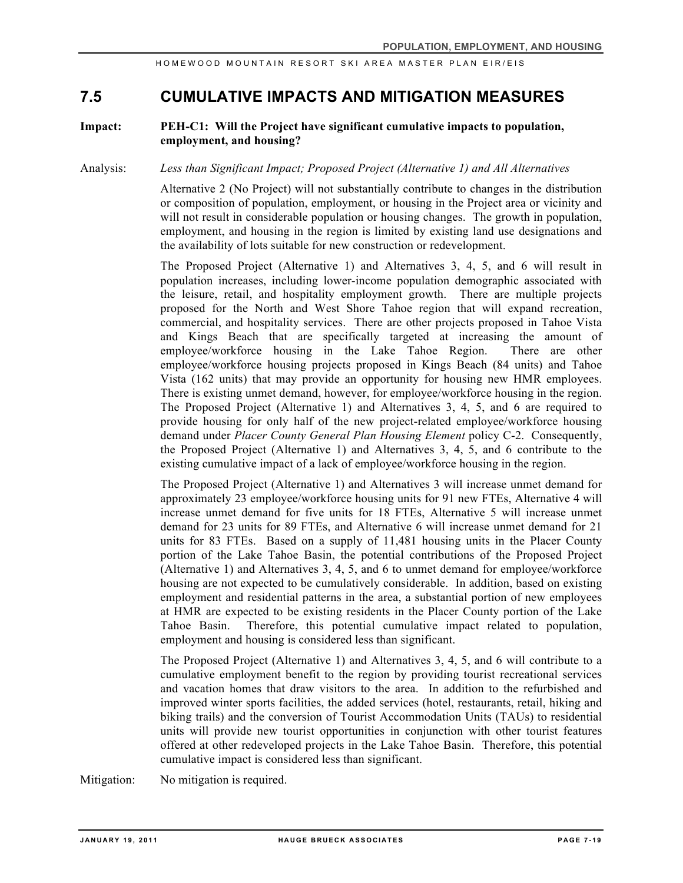## **7.5 CUMULATIVE IMPACTS AND MITIGATION MEASURES**

### **Impact: PEH-C1: Will the Project have significant cumulative impacts to population, employment, and housing?**

Analysis: *Less than Significant Impact; Proposed Project (Alternative 1) and All Alternatives*

Alternative 2 (No Project) will not substantially contribute to changes in the distribution or composition of population, employment, or housing in the Project area or vicinity and will not result in considerable population or housing changes. The growth in population, employment, and housing in the region is limited by existing land use designations and the availability of lots suitable for new construction or redevelopment.

The Proposed Project (Alternative 1) and Alternatives 3, 4, 5, and 6 will result in population increases, including lower-income population demographic associated with the leisure, retail, and hospitality employment growth. There are multiple projects proposed for the North and West Shore Tahoe region that will expand recreation, commercial, and hospitality services. There are other projects proposed in Tahoe Vista and Kings Beach that are specifically targeted at increasing the amount of employee/workforce housing in the Lake Tahoe Region. There are other employee/workforce housing projects proposed in Kings Beach (84 units) and Tahoe Vista (162 units) that may provide an opportunity for housing new HMR employees. There is existing unmet demand, however, for employee/workforce housing in the region. The Proposed Project (Alternative 1) and Alternatives 3, 4, 5, and 6 are required to provide housing for only half of the new project-related employee/workforce housing demand under *Placer County General Plan Housing Element* policy C-2. Consequently, the Proposed Project (Alternative 1) and Alternatives 3, 4, 5, and 6 contribute to the existing cumulative impact of a lack of employee/workforce housing in the region.

The Proposed Project (Alternative 1) and Alternatives 3 will increase unmet demand for approximately 23 employee/workforce housing units for 91 new FTEs, Alternative 4 will increase unmet demand for five units for 18 FTEs, Alternative 5 will increase unmet demand for 23 units for 89 FTEs, and Alternative 6 will increase unmet demand for 21 units for 83 FTEs. Based on a supply of 11,481 housing units in the Placer County portion of the Lake Tahoe Basin, the potential contributions of the Proposed Project (Alternative 1) and Alternatives 3, 4, 5, and 6 to unmet demand for employee/workforce housing are not expected to be cumulatively considerable. In addition, based on existing employment and residential patterns in the area, a substantial portion of new employees at HMR are expected to be existing residents in the Placer County portion of the Lake Tahoe Basin. Therefore, this potential cumulative impact related to population, employment and housing is considered less than significant.

The Proposed Project (Alternative 1) and Alternatives 3, 4, 5, and 6 will contribute to a cumulative employment benefit to the region by providing tourist recreational services and vacation homes that draw visitors to the area. In addition to the refurbished and improved winter sports facilities, the added services (hotel, restaurants, retail, hiking and biking trails) and the conversion of Tourist Accommodation Units (TAUs) to residential units will provide new tourist opportunities in conjunction with other tourist features offered at other redeveloped projects in the Lake Tahoe Basin. Therefore, this potential cumulative impact is considered less than significant.

Mitigation: No mitigation is required.